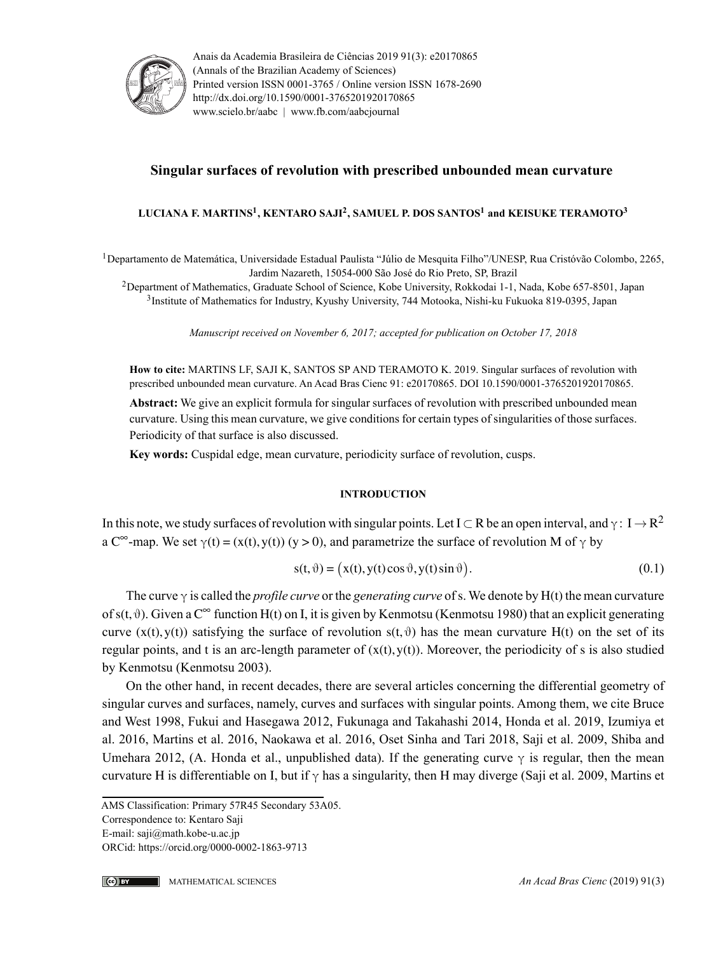

Anais da Academia Brasileira de Ciências 2019 91(3): e20170865 (Annals of the Brazilian Academy of Sciences) Printed version ISSN 0001-3765 / Online version ISSN 1678-2690 http://dx.doi.org/10.1590/0001-3765201920170865 www.scielo.br/aabc | www.fb.com/aabcjournal

# **Singular surfaces of revolution with prescribed unbounded mean curvature**

### **LUCIANA F. MARTINS<sup>1</sup> , KENTARO SAJI<sup>2</sup> , SAMUEL P. DOS SANTOS<sup>1</sup> and KEISUKE TERAMOTO<sup>3</sup>**

<sup>1</sup>Departamento de Matemática, Universidade Estadual Paulista "Júlio de Mesquita Filho"/UNESP, Rua Cristóvão Colombo, 2265, Jardim Nazareth, 15054-000 São José do Rio Preto, SP, Brazil

<sup>2</sup>Department of Mathematics, Graduate School of Science, Kobe University, Rokkodai 1-1, Nada, Kobe 657-8501, Japan 3 Institute of Mathematics for Industry, Kyushy University, 744 Motooka, Nishi-ku Fukuoka 819-0395, Japan

*Manuscript received on November 6, 2017; accepted for publication on October 17, 2018*

**How to cite:** MARTINS LF, SAJI K, SANTOS SP AND TERAMOTO K. 2019. Singular surfaces of revolution with prescribed unbounded mean curvature. An Acad Bras Cienc 91: e20170865. DOI 10.1590/0001-3765201920170865.

**Abstract:** We give an explicit formula for singular surfaces of revolution with prescribed unbounded mean curvature. Using this mean curvature, we give conditions for certain types of singularities of those surfaces. Periodicity of that surface is also discussed.

**Key words:** Cuspidal edge, mean curvature, periodicity surface of revolution, cusps.

#### **INTRODUCTION**

In this note, we study surfaces of revolution with singular points. Let I  $\subset$  R be an open interval, and  $\gamma: I \to R^2$ a C<sup>∞</sup>-map. We set  $\gamma(t) = (x(t), y(t))$  (y > 0), and parametrize the surface of revolution M of  $\gamma$  by

$$
s(t, \vartheta) = (x(t), y(t)\cos\vartheta, y(t)\sin\vartheta). \tag{0.1}
$$

The curve γ is called the *profile curve* or the *generating curve* ofs. We denote by H(t) the mean curvature of  $s(t, \theta)$ . Given a  $C^{\infty}$  function  $H(t)$  on I, it is given by Kenmotsu (Kenmotsu 1980) that an explicit generating curve  $(x(t), y(t))$  satisfying the surface of revolution  $s(t, \vartheta)$  has the mean curvature H(t) on the set of its regular points, and t is an arc-length parameter of  $(x(t), y(t))$ . Moreover, the periodicity of s is also studied by Kenmotsu (Kenmotsu 2003).

On the other hand, in recent decades, there are several articles concerning the differential geometry of singular curves and surfaces, namely, curves and surfaces with singular points. Among them, we cite Bruce and West 1998, Fukui and Hasegawa 2012, Fukunaga and Takahashi 2014, Honda et al. 2019, Izumiya et al. 2016, Martins et al. 2016, Naokawa et al. 2016, Oset Sinha and Tari 2018, Saji et al. 2009, Shiba and Umehara 2012, (A. Honda et al., unpublished data). If the generating curve  $\gamma$  is regular, then the mean curvature H is differentiable on I, but if  $\gamma$  has a singularity, then H may diverge (Saji et al. 2009, Martins et

AMS Classification: Primary 57R45 Secondary 53A05.

Correspondence to: Kentaro Saji

E-mail: saji@math.kobe-u.ac.jp

ORCid: https://orcid.org/0000-0002-1863-9713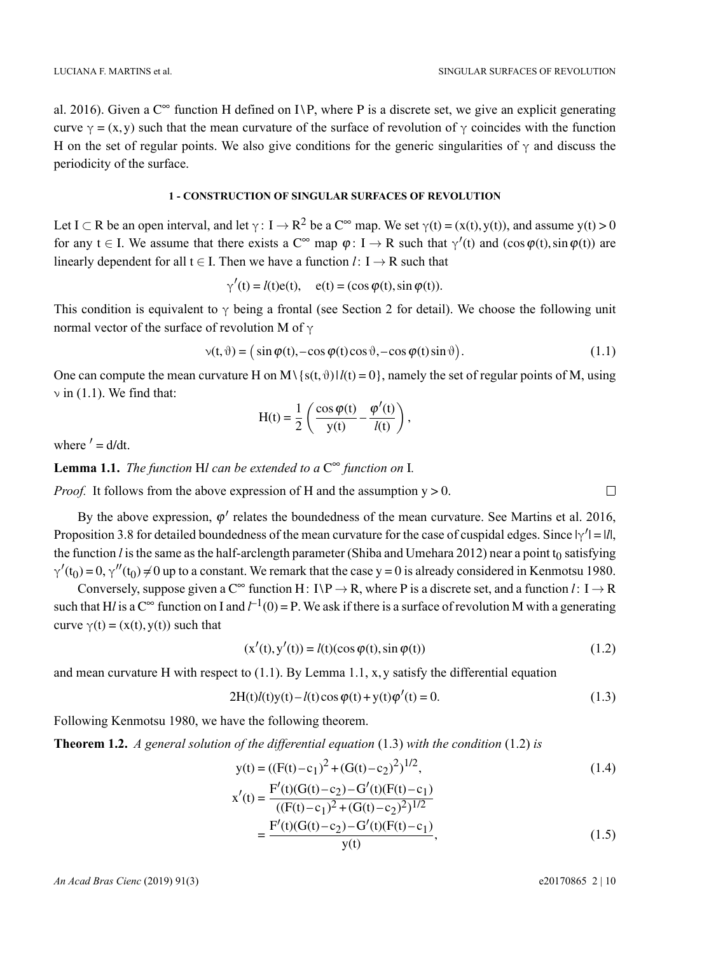al. 2016). Given a  $C^{\infty}$  function H defined on I\P, where P is a discrete set, we give an explicit generating curve  $\gamma = (x, y)$  such that the mean curvature of the surface of revolution of  $\gamma$  coincides with the function H on the set of regular points. We also give conditions for the generic singularities of  $\gamma$  and discuss the periodicity of the surface.

### **1 - CONSTRUCTION OF SINGULAR SURFACES OF REVOLUTION**

Let I  $\subset$  R be an open interval, and let  $\gamma: I \to R^2$  be a  $C^{\infty}$  map. We set  $\gamma(t) = (x(t), y(t))$ , and assume  $y(t) > 0$ for any  $t \in I$ . We assume that there exists a  $C^{\infty}$  map  $\varphi: I \to R$  such that  $\gamma'(t)$  and  $(\cos \varphi(t), \sin \varphi(t))$  are linearly dependent for all  $t \in I$ . Then we have a function  $l: I \rightarrow R$  such that

$$
\gamma'(t) = l(t)e(t), \quad e(t) = (\cos \varphi(t), \sin \varphi(t)).
$$

This condition is equivalent to  $\gamma$  being a frontal (see Section 2 for detail). We choose the following unit normal vector of the surface of revolution M of γ

$$
\mathbf{v}(t,\vartheta) = (\sin \varphi(t), -\cos \varphi(t)\cos\vartheta, -\cos \varphi(t)\sin\vartheta). \tag{1.1}
$$

One can compute the mean curvature H on M\{s(t,  $\theta$ ) |  $l(t) = 0$ }, namely the set of regular points of M, using  $\nu$  in (1.1). We find that:

$$
H(t) = \frac{1}{2} \left( \frac{\cos \varphi(t)}{y(t)} - \frac{\varphi'(t)}{l(t)} \right),
$$

where  $d = d/dt$ .

**Lemma 1.1.** *The function* H*l can be extended to a* C ∞ *function on* I*.*

*Proof.* It follows from the above expression of H and the assumption  $y > 0$ .

By the above expression,  $\varphi'$  relates the boundedness of the mean curvature. See Martins et al. 2016, Proposition 3.8 for detailed boundedness of the mean curvature for the case of cuspidal edges. Since  $|\gamma'| = |l|$ , the function  $l$  is the same as the half-arclength parameter (Shiba and Umehara 2012) near a point  $t_0$  satisfying  $\gamma'(t_0) = 0$ ,  $\gamma''(t_0) \neq 0$  up to a constant. We remark that the case y = 0 is already considered in Kenmotsu 1980.

Conversely, suppose given a  $C^{\infty}$  function H: I\P  $\rightarrow$  R, where P is a discrete set, and a function *l*: I  $\rightarrow$  R such that H*l* is a C<sup> $\infty$ </sup> function on I and  $l^{-1}(0) = P$ . We ask if there is a surface of revolution M with a generating curve  $\gamma(t) = (x(t), y(t))$  such that

$$
(\mathbf{x}'(t), \mathbf{y}'(t)) = l(t)(\cos \varphi(t), \sin \varphi(t))
$$
\n(1.2)

and mean curvature H with respect to  $(1.1)$ . By Lemma 1.1, x, y satisfy the differential equation

$$
2H(t)l(t)y(t) - l(t)\cos\varphi(t) + y(t)\varphi'(t) = 0.
$$
\n(1.3)

Following Kenmotsu 1980, we have the following theorem.

**Theorem 1.2.** *A general solution of the differential equation* (1.3) *with the condition* (1.2) *is*

$$
y(t) = ((F(t) - c_1)^2 + (G(t) - c_2)^2)^{1/2},
$$
  
\n
$$
x'(t) = \frac{F'(t)(G(t) - c_2) - G'(t)(F(t) - c_1)}{(G(t) - c_2)^2 + (G(t) - c_1)^2}
$$
\n(1.4)

$$
f(t) = \frac{((F(t) - c_1)^2 + (G(t) - c_2)^2)^{1/2}}{((F(t) - c_2) - G'(t)(F(t) - c_1))}
$$
  
= 
$$
\frac{F'(t)(G(t) - c_2) - G'(t)(F(t) - c_1)}{y(t)},
$$
 (1.5)

*An Acad Bras Cienc* (2019) 91(3) e20170865 2 | 10

 $\Box$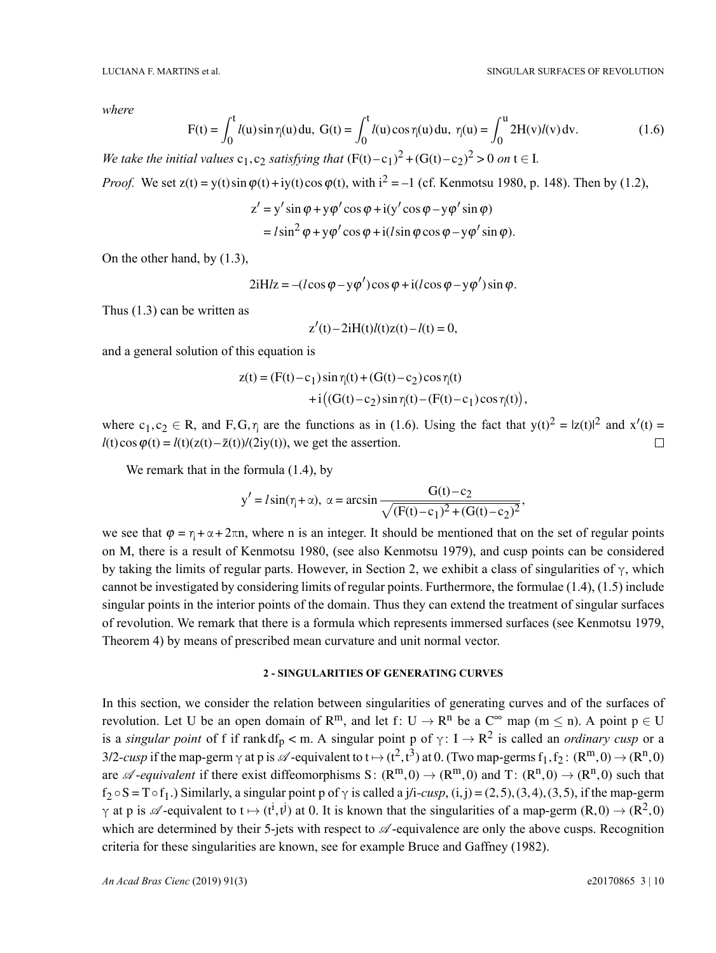,

*where*

$$
F(t) = \int_0^t l(u) \sin \eta(u) du, \ G(t) = \int_0^t l(u) \cos \eta(u) du, \ \eta(u) = \int_0^u 2H(v)l(v) dv.
$$
 (1.6)

We take the initial values  $c_1$ ,  $c_2$  satisfying that  $(F(t)-c_1)^2 + (G(t)-c_2)^2 > 0$  on  $t \in I$ .

*Proof.* We set  $z(t) = y(t) \sin \varphi(t) + iy(t) \cos \varphi(t)$ , with  $i^2 = -1$  (cf. Kenmotsu 1980, p. 148). Then by (1.2),

$$
z' = y' \sin \varphi + y \varphi' \cos \varphi + i(y' \cos \varphi - y \varphi' \sin \varphi)
$$
  
=  $l \sin^2 \varphi + y \varphi' \cos \varphi + i(l \sin \varphi \cos \varphi - y \varphi' \sin \varphi).$ 

On the other hand, by (1.3),

$$
2iH/z = -(l\cos\varphi - y\varphi')\cos\varphi + i(l\cos\varphi - y\varphi')\sin\varphi.
$$

Thus (1.3) can be written as

$$
z'(t) - 2iH(t)l(t)z(t) - l(t) = 0,
$$

and a general solution of this equation is

$$
z(t) = (F(t) - c_1) \sin \eta(t) + (G(t) - c_2) \cos \eta(t)
$$
  
+ i ((G(t) - c\_2) \sin \eta(t) - (F(t) - c\_1) \cos \eta(t))

where  $c_1, c_2 \in R$ , and F, G,  $\eta$  are the functions as in (1.6). Using the fact that  $y(t)^2 = |z(t)|^2$  and  $x'(t) =$  $l(t)\cos\varphi(t) = l(t)(z(t)-\bar{z}(t))/(2iy(t)),$  we get the assertion.  $\Box$ 

We remark that in the formula  $(1.4)$ , by

$$
y' = l\sin(\eta + \alpha)
$$
,  $\alpha = \arcsin \frac{G(t) - c_2}{\sqrt{(F(t) - c_1)^2 + (G(t) - c_2)^2}}$ ,

we see that  $\varphi = \eta + \alpha + 2\pi n$ , where n is an integer. It should be mentioned that on the set of regular points on M, there is a result of Kenmotsu 1980, (see also Kenmotsu 1979), and cusp points can be considered by taking the limits of regular parts. However, in Section 2, we exhibit a class of singularities of  $\gamma$ , which cannot be investigated by considering limits of regular points. Furthermore, the formulae (1.4), (1.5) include singular points in the interior points of the domain. Thus they can extend the treatment of singular surfaces of revolution. We remark that there is a formula which represents immersed surfaces (see Kenmotsu 1979, Theorem 4) by means of prescribed mean curvature and unit normal vector.

#### **2 - SINGULARITIES OF GENERATING CURVES**

In this section, we consider the relation between singularities of generating curves and of the surfaces of revolution. Let U be an open domain of  $\mathbb{R}^m$ , and let  $f: U \to \mathbb{R}^n$  be a  $\mathbb{C}^\infty$  map  $(m \le n)$ . A point  $p \in U$ is a *singular point* of f if rank df<sub>p</sub> < m. A singular point p of  $\gamma: I \to R^2$  is called an *ordinary cusp* or a 3/2-cusp if the map-germ  $\gamma$  at p is  $\mathscr A$ -equivalent to  $t \mapsto (t^2, t^3)$  at 0. (Two map-germs  $f_1, f_2: (R^m, 0) \to (R^n, 0)$ are  $\mathscr{A}$ -*equivalent* if there exist diffeomorphisms S:  $(R^m, 0) \to (R^m, 0)$  and T:  $(R^n, 0) \to (R^n, 0)$  such that  $f_2 \circ S = T \circ f_1$ .) Similarly, a singular point p of  $\gamma$  is called a j/i-*cusp*, (i,j) = (2,5), (3,4), (3,5), if the map-germ  $\gamma$  at p is  $\mathscr A$ -equivalent to  $t \mapsto (t^i, t^j)$  at 0. It is known that the singularities of a map-germ  $(R, 0) \to (R^2, 0)$ which are determined by their 5-jets with respect to  $\mathscr A$ -equivalence are only the above cusps. Recognition criteria for these singularities are known, see for example Bruce and Gaffney (1982).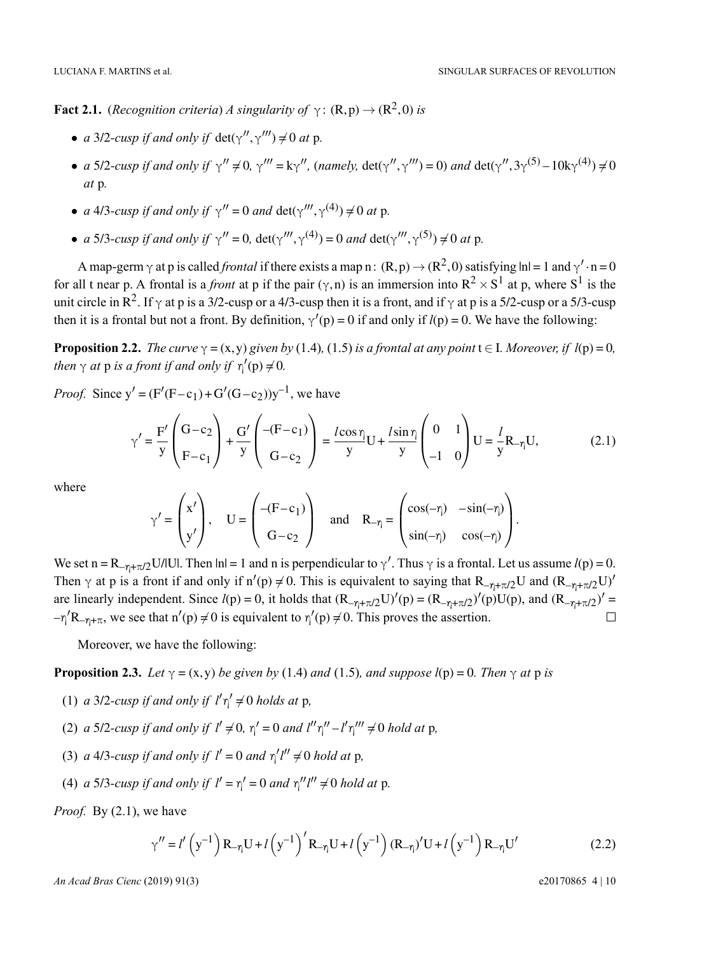**Fact 2.1.** (*Recognition criteria*) *A singularity of*  $\gamma$ : (R, p)  $\rightarrow$  (R<sup>2</sup>, 0) *is* 

- *a* 3/2-*cusp if and only if*  $\det(\gamma'', \gamma''') \neq 0$  *at* p.
- *a* 5/2-cusp if and only if  $\gamma'' \neq 0$ ,  $\gamma''' = k\gamma''$ , (namely, det( $\gamma''$ ,  $\gamma'''$ ) = 0) and det( $\gamma''$ ,  $3\gamma^{(5)} 10k\gamma^{(4)}$ )  $\neq 0$ *at* p*.*
- *a* 4/3-*cusp if and only if*  $\gamma'' = 0$  *and*  $\det(\gamma'''', \gamma^{(4)}) \neq 0$  *at* p.
- *a* 5/3-cusp if and only if  $\gamma'' = 0$ , det( $\gamma'''$ ,  $\gamma^{(4)}$ ) = 0 *and* det( $\gamma'''$ ,  $\gamma^{(5)}$ )  $\neq 0$  *at* p.

A map-germ  $\gamma$  at p is called *frontal* if there exists a map n:  $(R, p) \to (R^2, 0)$  satisfying  $ln = 1$  and  $\gamma' \cdot n = 0$ for all t near p. A frontal is a *front* at p if the pair  $(\gamma, n)$  is an immersion into  $R^2 \times S^1$  at p, where  $S^1$  is the unit circle in R<sup>2</sup>. If  $\gamma$  at p is a 3/2-cusp or a 4/3-cusp then it is a front, and if  $\gamma$  at p is a 5/2-cusp or a 5/3-cusp then it is a frontal but not a front. By definition,  $\gamma'(p) = 0$  if and only if  $l(p) = 0$ . We have the following:

**Proposition 2.2.** *The curve*  $\gamma = (x, y)$  *given by* (1.4)*,* (1.5) *is a frontal at any point*  $t \in I$ *. Moreover, if*  $l(p) = 0$ *, then*  $\gamma$  *at* **p** *is a front if and only if*  $\eta'(\text{p}) \neq 0$ *.* 

*Proof.* Since  $y' = (F'(F - c_1) + G'(G - c_2))y^{-1}$ , we have

$$
\gamma' = \frac{F'}{y} \left( \frac{G - c_2}{F - c_1} \right) + \frac{G'}{y} \left( \frac{-(F - c_1)}{G - c_2} \right) = \frac{l \cos \eta}{y} U + \frac{l \sin \eta}{y} \left( \begin{array}{cc} 0 & 1 \\ -1 & 0 \end{array} \right) U = \frac{l}{y} R_{-\eta} U,
$$
(2.1)

where

$$
\gamma' = \begin{pmatrix} x' \\ y' \end{pmatrix}, \quad U = \begin{pmatrix} -(F - c_1) \\ G - c_2 \end{pmatrix} \quad \text{and} \quad R_{-\eta} = \begin{pmatrix} \cos(-\eta) & -\sin(-\eta) \\ \sin(-\eta) & \cos(-\eta) \end{pmatrix}.
$$

We set  $n = R_{-\eta + \pi/2}U/|U|$ . Then  $|n| = 1$  and n is perpendicular to  $\gamma'$ . Thus  $\gamma$  is a frontal. Let us assume  $l(p) = 0$ . Then  $\gamma$  at p is a front if and only if  $n'(p) \neq 0$ . This is equivalent to saying that  $R_{-\eta+\pi/2}U$  and  $(R_{-\eta+\pi/2}U)'$ are linearly independent. Since  $l(p) = 0$ , it holds that  $(R_{-\eta+\pi/2}U)'(p) = (R_{-\eta+\pi/2})'(p)U(p)$ , and  $(R_{-\eta+\pi/2})' =$  $-\eta' R_{-\eta+\pi}$ , we see that  $n'(p) \neq 0$  is equivalent to  $\eta'(p) \neq 0$ . This proves the assertion.  $\Box$ 

Moreover, we have the following:

**Proposition 2.3.** *Let*  $\gamma = (x, y)$  *be given by* (1.4) *and* (1.5)*, and suppose*  $l(p) = 0$ *. Then*  $\gamma$  *at* p *is* 

- (1) *a* 3/2-*cusp if and only if*  $l'\eta' \neq 0$  *holds at* p,
- (2) *a* 5/2-cusp if and only if  $l' \neq 0$ ,  $\eta' = 0$  and  $l''\eta'' l'\eta''' \neq 0$  hold at p,
- (3) *a* 4/3-*cusp if and only if*  $l' = 0$  *and*  $\eta' l'' \neq 0$  *hold at* p,
- (4) *a* 5/3-cusp if and only if  $l' = \eta' = 0$  and  $\eta'' l'' \neq 0$  hold at p.

*Proof.* By (2.1), we have

$$
\gamma'' = l' \left( y^{-1} \right) R_{-\eta} U + l \left( y^{-1} \right)' R_{-\eta} U + l \left( y^{-1} \right) (R_{-\eta})' U + l \left( y^{-1} \right) R_{-\eta} U'
$$
 (2.2)

*An Acad Bras Cienc* (2019) 91(3) e20170865 4 | 10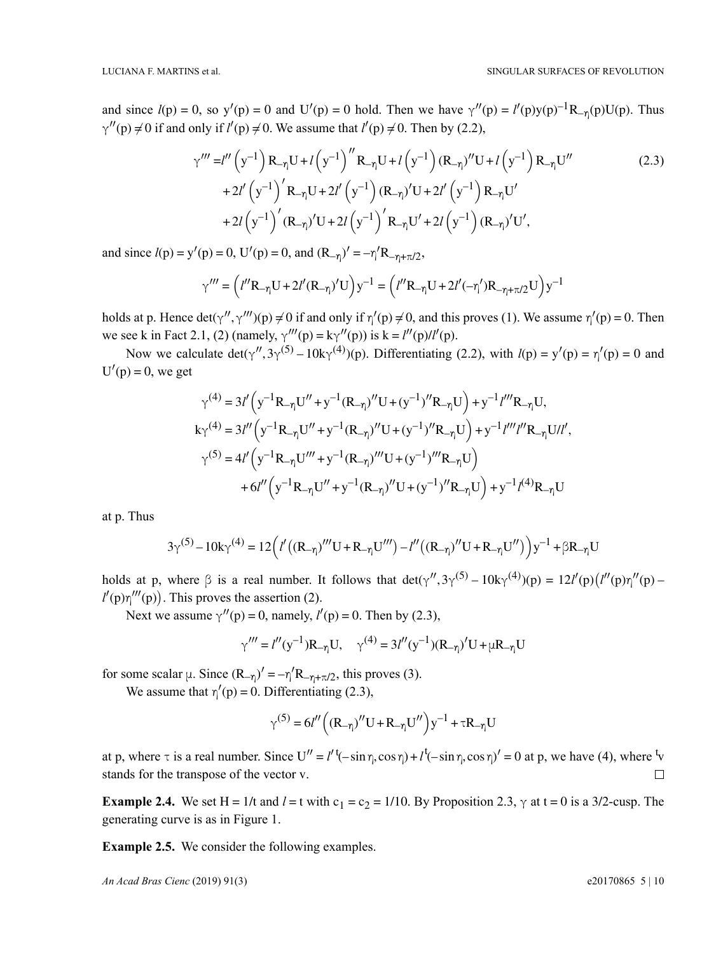and since  $l(p) = 0$ , so  $y'(p) = 0$  and  $U'(p) = 0$  hold. Then we have  $\gamma''(p) = l'(p)y(p)^{-1}R_{-\gamma}(p)U(p)$ . Thus  $\gamma''(p) \neq 0$  if and only if  $l'(p) \neq 0$ . We assume that  $l'(p) \neq 0$ . Then by (2.2),

$$
\gamma''' = l'' \left( y^{-1} \right) R_{-\eta} U + l \left( y^{-1} \right)'' R_{-\eta} U + l \left( y^{-1} \right) (R_{-\eta})'' U + l \left( y^{-1} \right) R_{-\eta} U''
$$
\n
$$
+ 2l' \left( y^{-1} \right)' R_{-\eta} U + 2l' \left( y^{-1} \right) (R_{-\eta})' U + 2l' \left( y^{-1} \right) R_{-\eta} U'
$$
\n
$$
+ 2l \left( y^{-1} \right)' (R_{-\eta})' U + 2l \left( y^{-1} \right)' R_{-\eta} U' + 2l \left( y^{-1} \right) (R_{-\eta})' U',
$$
\n(2.3)

and since  $l(p) = y'(p) = 0$ ,  $U'(p) = 0$ , and  $(R_{-\eta})' = -\eta' R_{-\eta + \pi/2}$ ,

$$
\gamma''' = \left(l''\mathrm{R}_{-\eta}\mathrm{U} + 2l'(\mathrm{R}_{-\eta})'\mathrm{U}\right)\mathrm{y}^{-1} = \left(l''\mathrm{R}_{-\eta}\mathrm{U} + 2l'(-\eta')\mathrm{R}_{-\eta+\pi/2}\mathrm{U}\right)\mathrm{y}^{-1}
$$

holds at p. Hence  $det(\gamma'', \gamma''') (p) \neq 0$  if and only if  $\eta'(p) \neq 0$ , and this proves (1). We assume  $\eta'(p) = 0$ . Then we see k in Fact 2.1, (2) (namely,  $\gamma'''(p) = k\gamma''(p)$ ) is  $k = l''(p)l''(p)$ .

Now we calculate  $det(\gamma'', 3\gamma^{(5)} - 10k\gamma^{(4)})(p)$ . Differentiating (2.2), with  $l(p) = y'(p) = \eta'(p) = 0$  and  $U'(p) = 0$ , we get

$$
\gamma^{(4)} = 3l' \left( y^{-1} R_{-\eta} U'' + y^{-1} (R_{-\eta})'' U + (y^{-1})'' R_{-\eta} U \right) + y^{-1} l''' R_{-\eta} U,
$$
  
\n
$$
k \gamma^{(4)} = 3l'' \left( y^{-1} R_{-\eta} U'' + y^{-1} (R_{-\eta})'' U + (y^{-1})'' R_{-\eta} U \right) + y^{-1} l''' l'' R_{-\eta} U l l',
$$
  
\n
$$
\gamma^{(5)} = 4l' \left( y^{-1} R_{-\eta} U''' + y^{-1} (R_{-\eta})''' U + (y^{-1})''' R_{-\eta} U \right)
$$
  
\n
$$
+ 6l'' \left( y^{-1} R_{-\eta} U'' + y^{-1} (R_{-\eta})'' U + (y^{-1})'' R_{-\eta} U \right) + y^{-1} l^{(4)} R_{-\eta} U
$$

at p. Thus

$$
3\gamma^{(5)}-10k\gamma^{(4)}=12\Big(l'\big((R_{-\eta})'''U+R_{-\eta}U'''\big)-l''\big((R_{-\eta})''U+R_{-\eta}U''\big)\Big)y^{-1}+\beta R_{-\eta}U
$$

holds at p, where  $\beta$  is a real number. It follows that  $det(\gamma'', 3\gamma^{(5)} - 10k\gamma^{(4)})(p) = 12l'(p)(l''(p)\gamma''(p)$  $l'(p)\eta'''(p)$ . This proves the assertion (2).

Next we assume  $\gamma''(p) = 0$ , namely,  $l'(p) = 0$ . Then by (2.3),

$$
\gamma''' = l''(y^{-1})R_{-\eta}U
$$
,  $\gamma^{(4)} = 3l''(y^{-1})(R_{-\eta})'U + \mu R_{-\eta}U$ 

for some scalar  $\mu$ . Since  $(R_{-\eta})' = -\eta' R_{-\eta + \pi/2}$ , this proves (3).

We assume that  $\eta'(p) = 0$ . Differentiating (2.3),

$$
\gamma^{(5)} = 6l'' \left( \left( R_{-\eta} \right)^{\prime \prime} U + R_{-\eta} U^{\prime \prime} \right) y^{-1} + \tau R_{-\eta} U
$$

at p, where  $\tau$  is a real number. Since  $U'' = l'$ <sup>t</sup> $(-\sin \eta, \cos \eta) + l'(-\sin \eta, \cos \eta)' = 0$  at p, we have (4), where <sup>t</sup> stands for the transpose of the vector v.  $\Box$ 

**Example 2.4.** We set H = 1/t and  $l =$  t with c<sub>1</sub> = c<sub>2</sub> = 1/10. By Proposition 2.3,  $\gamma$  at t = 0 is a 3/2-cusp. The generating curve is as in Figure 1.

**Example 2.5.** We consider the following examples.

*An Acad Bras Cienc* (2019) 91(3) e20170865 5 | 10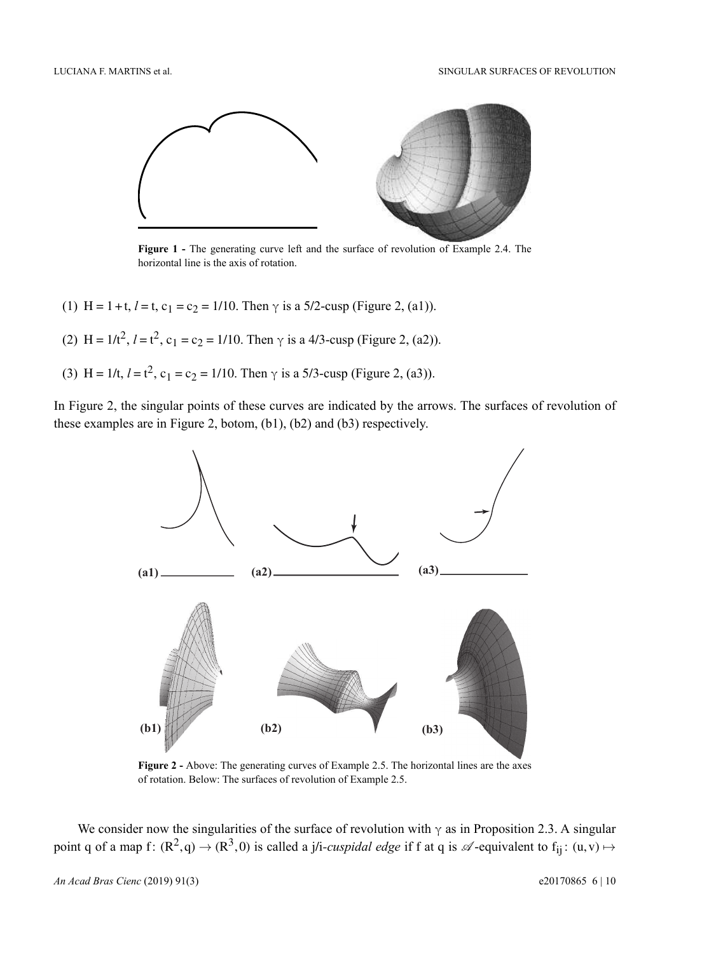LUCIANA F. MARTINS et al. SINGULAR SURFACES OF REVOLUTION



**Figure 1 -** The generating curve left and the surface of revolution of Example 2.4. The horizontal line is the axis of rotation.

- (1) H = 1 + t,  $l =$  t,  $c_1 = c_2 = 1/10$ . Then  $\gamma$  is a 5/2-cusp (Figure 2, (a1)).
- (2) H =  $1/t^2$ ,  $l = t^2$ ,  $c_1 = c_2 = 1/10$ . Then  $\gamma$  is a 4/3-cusp (Figure 2, (a2)).
- (3) H =  $1/t$ ,  $l = t^2$ ,  $c_1 = c_2 = 1/10$ . Then  $\gamma$  is a 5/3-cusp (Figure 2, (a3)).

In Figure 2, the singular points of these curves are indicated by the arrows. The surfaces of revolution of these examples are in Figure 2, botom, (b1), (b2) and (b3) respectively.



**Figure 2 -** Above: The generating curves of Example 2.5. The horizontal lines are the axes of rotation. Below: The surfaces of revolution of Example 2.5.

We consider now the singularities of the surface of revolution with  $\gamma$  as in Proposition 2.3. A singular point q of a map f:  $(\mathbb{R}^2, q) \to (\mathbb{R}^3, 0)$  is called a j/i-*cuspidal edge* if f at q is  $\mathscr{A}$ -equivalent to f<sub>ij</sub>:  $(u, v) \mapsto$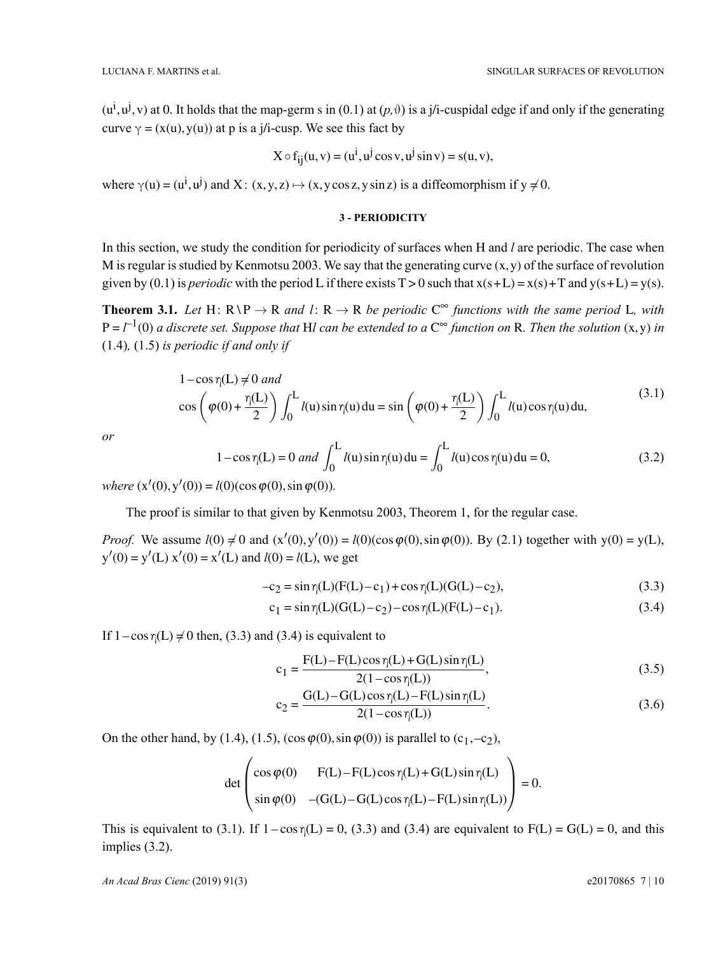$(u^i, u^j, v)$  at 0. It holds that the map-germ s in (0.1) at  $(p, \vartheta)$  is a j/i-cuspidal edge if and only if the generating curve  $\gamma = (x(u), y(u))$  at p is a j/i-cusp. We see this fact by

$$
X \circ f_{ij}(u, v) = (u^i, u^j \cos v, u^j \sin v) = s(u, v),
$$

where  $\gamma(u) = (u^i, u^j)$  and X:  $(x, y, z) \mapsto (x, y \cos z, y \sin z)$  is a diffeomorphism if  $y \neq 0$ .

#### **3 - PERIODICITY**

In this section, we study the condition for periodicity of surfaces when H and *l* are periodic. The case when M is regular is studied by Kenmotsu 2003. We say that the generating curve  $(x, y)$  of the surface of revolution given by (0.1) is *periodic* with the period L if there exists  $T > 0$  such that  $x(s+L) = x(s) + T$  and  $y(s+L) = y(s)$ .

**Theorem 3.1.** Let  $H: R \ P \to R$  and  $l: R \to R$  be periodic  $C^{\infty}$  functions with the same period L, with  $P = l^{-1}(0)$  a discrete set. Suppose that Hl can be extended to a  $C^{\infty}$  function on R. Then the solution  $(x, y)$  in (1.4)*,* (1.5) *is periodic if and only if*

$$
1 - \cos \eta(L) \neq 0 \text{ and}
$$
  
\n
$$
\cos \left(\varphi(0) + \frac{\eta(L)}{2}\right) \int_0^L l(u) \sin \eta(u) du = \sin \left(\varphi(0) + \frac{\eta(L)}{2}\right) \int_0^L l(u) \cos \eta(u) du,
$$
\n(3.1)

*or*

$$
1 - \cos \eta(L) = 0 \text{ and } \int_0^L l(u) \sin \eta(u) du = \int_0^L l(u) \cos \eta(u) du = 0,
$$
 (3.2)

 $where (x'(0), y'(0)) = l(0)(cos \varphi(0), sin \varphi(0)).$ 

The proof is similar to that given by Kenmotsu 2003, Theorem 1, for the regular case.

*Proof.* We assume  $l(0) \neq 0$  and  $(x'(0), y'(0)) = l(0)(\cos \varphi(0), \sin \varphi(0))$ . By (2.1) together with y(0) = y(L),  $y'(0) = y'(L) x'(0) = x'(L)$  and  $l(0) = l(L)$ , we get

$$
-c_2 = \sin \eta(L)(F(L) - c_1) + \cos \eta(L)(G(L) - c_2),
$$
\n(3.3)

$$
c_1 = \sin \eta(L)(G(L) - c_2) - \cos \eta(L)(F(L) - c_1). \tag{3.4}
$$

If  $1 - \cos \eta(L) \neq 0$  then, (3.3) and (3.4) is equivalent to

$$
c_1 = \frac{F(L) - F(L)\cos\eta(L) + G(L)\sin\eta(L)}{2(1 - \cos\eta(L))},
$$
\n(3.5)

$$
c_2 = \frac{G(L) - G(L)\cos\eta(L) - F(L)\sin\eta(L)}{2(1 - \cos\eta(L))}.
$$
\n(3.6)

On the other hand, by (1.4), (1.5), (cos  $\varphi(0)$ , sin  $\varphi(0)$ ) is parallel to (c<sub>1</sub>,-c<sub>2</sub>),

$$
\det \begin{pmatrix} \cos \varphi(0) & F(L) - F(L) \cos \eta(L) + G(L) \sin \eta(L) \\ \sin \varphi(0) & -(G(L) - G(L) \cos \eta(L) - F(L) \sin \eta(L)) \end{pmatrix} = 0.
$$

This is equivalent to (3.1). If  $1 - \cos \eta(L) = 0$ , (3.3) and (3.4) are equivalent to  $F(L) = G(L) = 0$ , and this implies (3.2).

*An Acad Bras Cienc* (2019) 91(3) e20170865 7 | 10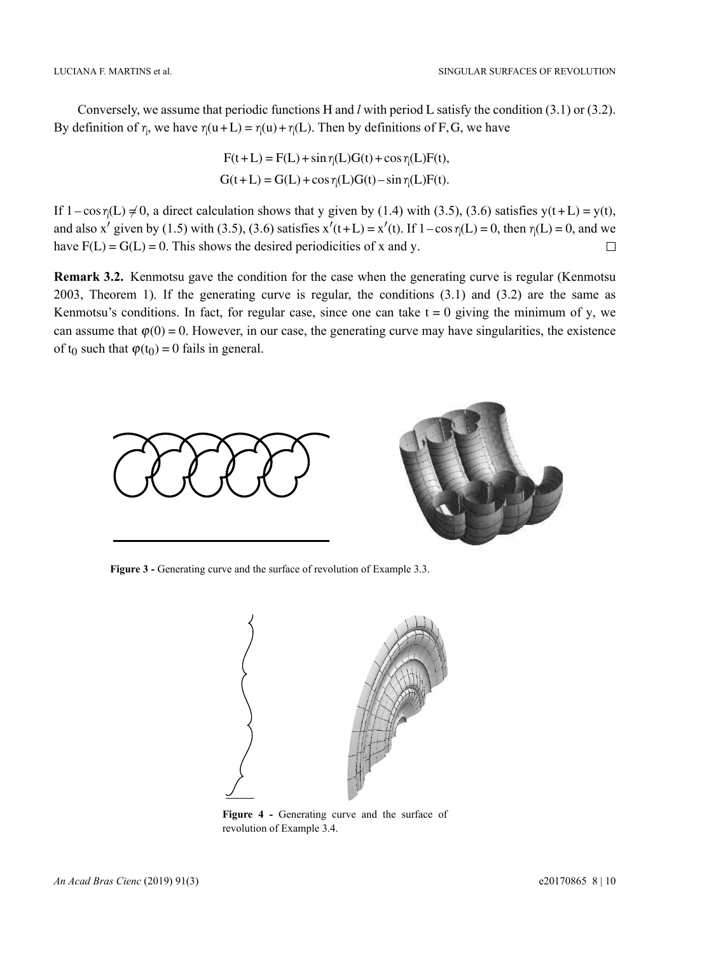Conversely, we assume that periodic functions H and *l* with period L satisfy the condition (3.1) or (3.2). By definition of  $\eta$ , we have  $\eta(u+L) = \eta(u) + \eta(L)$ . Then by definitions of F, G, we have

$$
F(t+L) = F(L) + \sin \eta(L)G(t) + \cos \eta(L)F(t),
$$
  
G(t+L) = G(L) + \cos \eta(L)G(t) - \sin \eta(L)F(t).

If  $1-\cos\eta(L) \neq 0$ , a direct calculation shows that y given by (1.4) with (3.5), (3.6) satisfies y(t+L) = y(t), and also x' given by (1.5) with (3.5), (3.6) satisfies  $x'(t+L) = x'(t)$ . If  $1 - \cos \eta(L) = 0$ , then  $\eta(L) = 0$ , and we have  $F(L) = G(L) = 0$ . This shows the desired periodicities of x and y.  $\Box$ 

**Remark 3.2.** Kenmotsu gave the condition for the case when the generating curve is regular (Kenmotsu 2003, Theorem 1). If the generating curve is regular, the conditions (3.1) and (3.2) are the same as Kenmotsu's conditions. In fact, for regular case, since one can take  $t = 0$  giving the minimum of y, we can assume that  $\varphi(0) = 0$ . However, in our case, the generating curve may have singularities, the existence of  $t_0$  such that  $\varphi(t_0) = 0$  fails in general.



**Figure 3 -** Generating curve and the surface of revolution of Example 3.3.



**Figure 4 -** Generating curve and the surface of revolution of Example 3.4.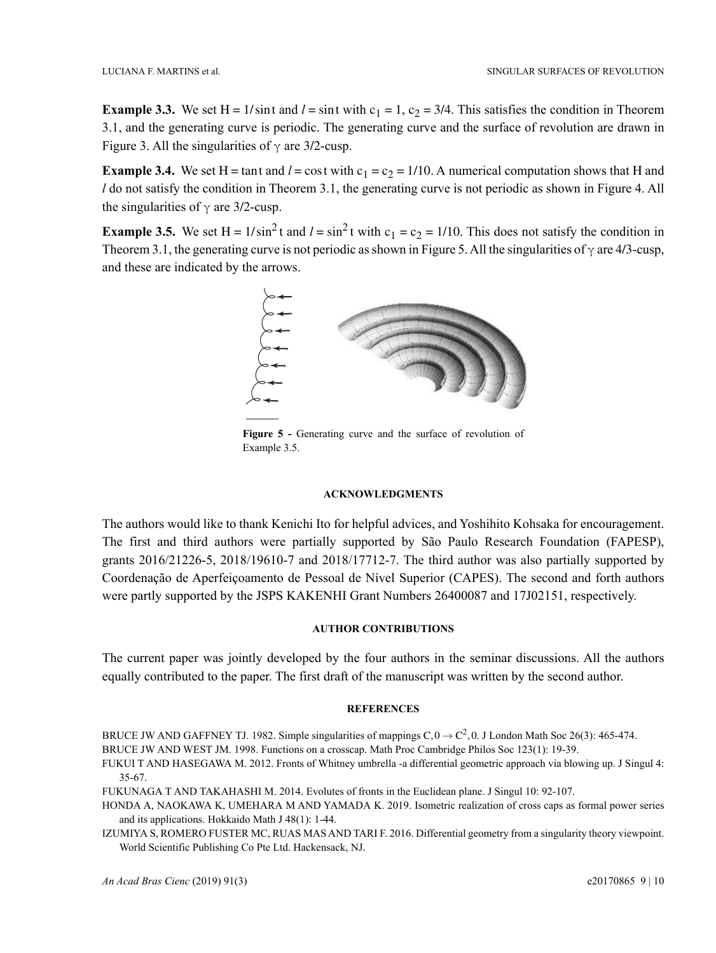**Example 3.3.** We set H =  $1/\sin t$  and  $l = \sin t$  with  $c_1 = 1$ ,  $c_2 = 3/4$ . This satisfies the condition in Theorem 3.1, and the generating curve is periodic. The generating curve and the surface of revolution are drawn in Figure 3. All the singularities of  $\gamma$  are 3/2-cusp.

**Example 3.4.** We set H = tant and  $l = \cos t$  with  $c_1 = c_2 = 1/10$ . A numerical computation shows that H and *l* do not satisfy the condition in Theorem 3.1, the generating curve is not periodic as shown in Figure 4. All the singularities of  $\gamma$  are 3/2-cusp.

**Example 3.5.** We set H =  $1/\sin^2 t$  and  $l = \sin^2 t$  with  $c_1 = c_2 = 1/10$ . This does not satisfy the condition in Theorem 3.1, the generating curve is not periodic as shown in Figure 5. All the singularities of  $\gamma$  are 4/3-cusp, and these are indicated by the arrows.



**Figure 5 -** Generating curve and the surface of revolution of Example 3.5.

#### **ACKNOWLEDGMENTS**

The authors would like to thank Kenichi Ito for helpful advices, and Yoshihito Kohsaka for encouragement. The first and third authors were partially supported by São Paulo Research Foundation (FAPESP), grants 2016/21226-5, 2018/19610-7 and 2018/17712-7. The third author was also partially supported by Coordenação de Aperfeiçoamento de Pessoal de Nível Superior (CAPES). The second and forth authors were partly supported by the JSPS KAKENHI Grant Numbers 26400087 and 17J02151, respectively.

## **AUTHOR CONTRIBUTIONS**

The current paper was jointly developed by the four authors in the seminar discussions. All the authors equally contributed to the paper. The first draft of the manuscript was written by the second author.

### **REFERENCES**

BRUCE JW AND GAFFNEY TJ. 1982. Simple singularities of mappings  $C$ ,  $0 \to C^2$ , 0. J London Math Soc 26(3): 465-474.

BRUCE JW AND WEST JM. 1998. Functions on a crosscap. Math Proc Cambridge Philos Soc 123(1): 19-39.

FUKUI T AND HASEGAWA M. 2012. Fronts of Whitney umbrella -a differential geometric approach via blowing up. J Singul 4: 35-67.

FUKUNAGA T AND TAKAHASHI M. 2014. Evolutes of fronts in the Euclidean plane. J Singul 10: 92-107.

HONDA A, NAOKAWA K, UMEHARA M AND YAMADA K. 2019. Isometric realization of cross caps as formal power series and its applications. Hokkaido Math J 48(1): 1-44.

IZUMIYA S, ROMERO FUSTER MC, RUAS MAS AND TARI F. 2016. Differential geometry from a singularity theory viewpoint. World Scientific Publishing Co Pte Ltd. Hackensack, NJ.